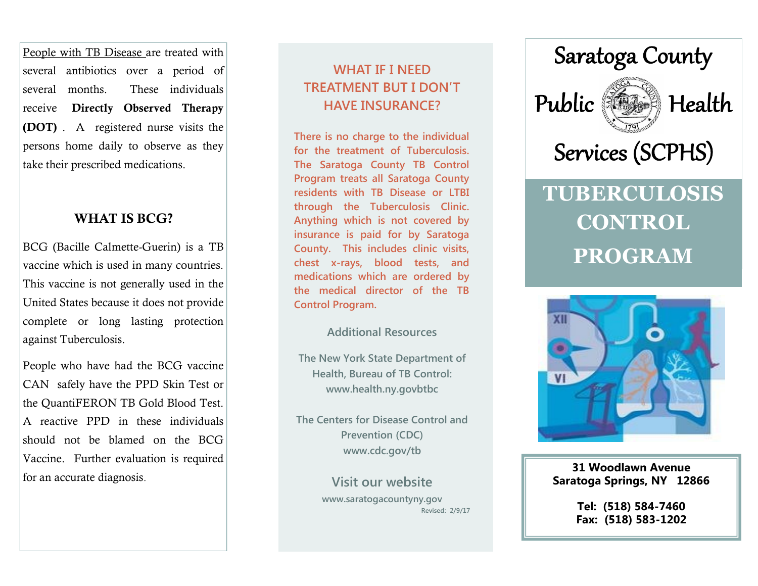People with TB Disease are treated with several antibiotics over a period of several months. These individuals receive **Directly Observed Therapy (DOT)** . A registered nurse visits the persons home daily to observe as they take their prescribed medications.

### **WHAT IS BCG?**

BCG (Bacille Calmette-Guerin) is a TB vaccine which is used in many countries. This vaccine is not generally used in the United States because it does not provide complete or long lasting protection against Tuberculosis.

People who have had the BCG vaccine CAN safely have the PPD Skin Test or the QuantiFERON TB Gold Blood Test. A reactive PPD in these individuals should not be blamed on the BCG Vaccine. Further evaluation is required for an accurate diagnosis.

# **WHAT IF I NEED TREATMENT BUT I DON'T HAVE INSURANCE?**

**There is no charge to the individual for the treatment of Tuberculosis. The Saratoga County TB Control Program treats all Saratoga County residents with TB Disease or LTBI through the Tuberculosis Clinic. Anything which is not covered by insurance is paid for by Saratoga County. This includes clinic visits, chest x-rays, blood tests, and medications which are ordered by the medical director of the TB Control Program.**

#### **Additional Resources**

**The New York State Department of Health, Bureau of TB Control: www.health.ny.govbtbc**

**The Centers for Disease Control and Prevention (CDC) www.cdc.gov/tb**

> **Visit our website www.saratogacountyny.gov Revised: 2/9/17**



# **TUBERCULOSIS CONTROL PROGRAM**



**31 Woodlawn Avenue Saratoga Springs, NY 12866**

> **Tel: (518) 584-7460 Fax: (518) 583-1202**